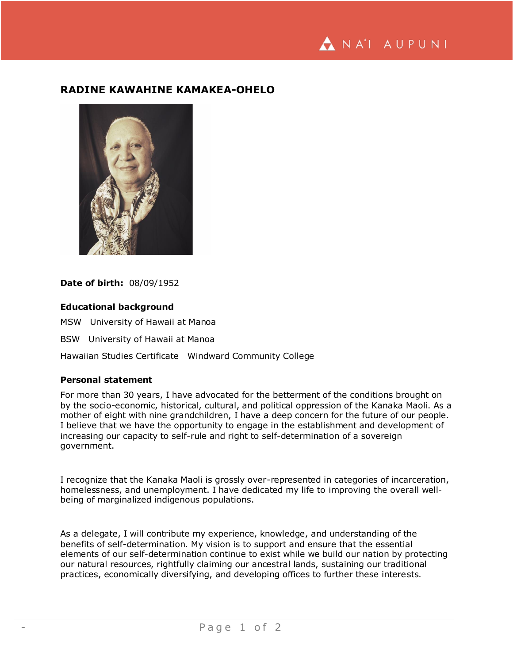

## **RADINE KAWAHINE KAMAKEA-OHELO**



## **Date of birth:** 08/09/1952

## **Educational background**

MSW University of Hawaii at Manoa

BSW University of Hawaii at Manoa

Hawaiian Studies Certificate Windward Community College

## **Personal statement**

For more than 30 years, I have advocated for the betterment of the conditions brought on by the socio-economic, historical, cultural, and political oppression of the Kanaka Maoli. As a mother of eight with nine grandchildren, I have a deep concern for the future of our people. I believe that we have the opportunity to engage in the establishment and development of increasing our capacity to self-rule and right to self-determination of a sovereign government.

I recognize that the Kanaka Maoli is grossly over-represented in categories of incarceration, homelessness, and unemployment. I have dedicated my life to improving the overall wellbeing of marginalized indigenous populations.

As a delegate, I will contribute my experience, knowledge, and understanding of the benefits of self-determination. My vision is to support and ensure that the essential elements of our self-determination continue to exist while we build our nation by protecting our natural resources, rightfully claiming our ancestral lands, sustaining our traditional practices, economically diversifying, and developing offices to further these interests.